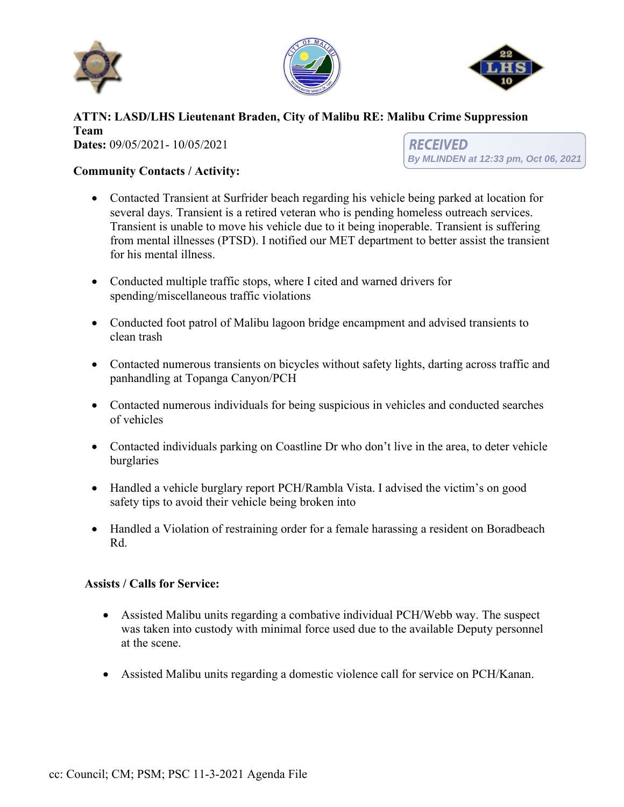





### **ATTN: LASD/LHS Lieutenant Braden, City of Malibu RE: Malibu Crime Suppression Team Dates:** 09/05/2021- 10/05/2021 *RECEIVED*

# **Community Contacts / Activity:**

**By MLINDEN at 12:33 pm, Oct 06, 2021**

• Contacted Transient at Surfrider beach regarding his vehicle being parked at location for several days. Transient is a retired veteran who is pending homeless outreach services. Transient is unable to move his vehicle due to it being inoperable. Transient is suffering from mental illnesses (PTSD). I notified our MET department to better assist the transient for his mental illness.

- Conducted multiple traffic stops, where I cited and warned drivers for spending/miscellaneous traffic violations
- Conducted foot patrol of Malibu lagoon bridge encampment and advised transients to clean trash
- Contacted numerous transients on bicycles without safety lights, darting across traffic and panhandling at Topanga Canyon/PCH
- Contacted numerous individuals for being suspicious in vehicles and conducted searches of vehicles
- Contacted individuals parking on Coastline Dr who don't live in the area, to deter vehicle burglaries
- Handled a vehicle burglary report PCH/Rambla Vista. I advised the victim's on good safety tips to avoid their vehicle being broken into
- Handled a Violation of restraining order for a female harassing a resident on Boradbeach Rd.

## **Assists / Calls for Service:**

- Assisted Malibu units regarding a combative individual PCH/Webb way. The suspect was taken into custody with minimal force used due to the available Deputy personnel at the scene.
- Assisted Malibu units regarding a domestic violence call for service on PCH/Kanan.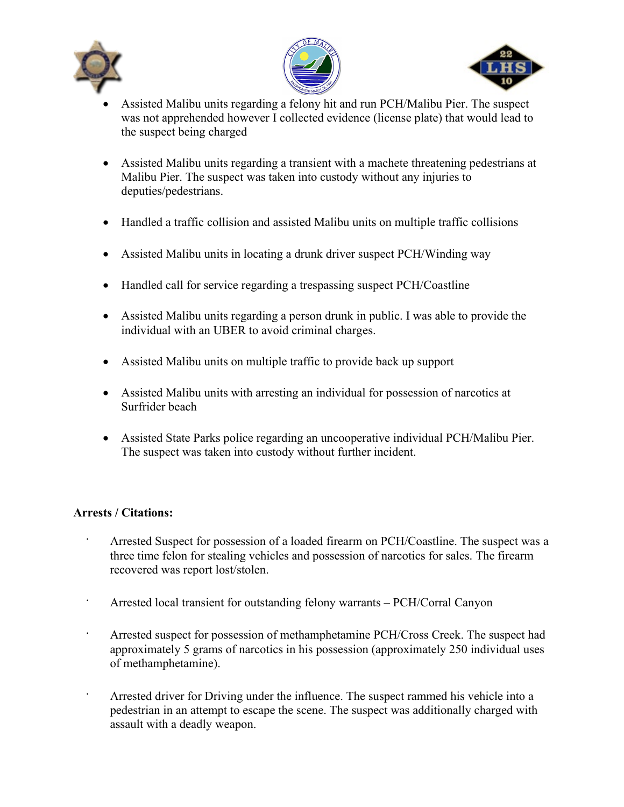





- Assisted Malibu units regarding a felony hit and run PCH/Malibu Pier. The suspect was not apprehended however I collected evidence (license plate) that would lead to the suspect being charged
- Assisted Malibu units regarding a transient with a machete threatening pedestrians at Malibu Pier. The suspect was taken into custody without any injuries to deputies/pedestrians.
- Handled a traffic collision and assisted Malibu units on multiple traffic collisions
- Assisted Malibu units in locating a drunk driver suspect PCH/Winding way
- Handled call for service regarding a trespassing suspect PCH/Coastline
- Assisted Malibu units regarding a person drunk in public. I was able to provide the individual with an UBER to avoid criminal charges.
- Assisted Malibu units on multiple traffic to provide back up support
- Assisted Malibu units with arresting an individual for possession of narcotics at Surfrider beach
- Assisted State Parks police regarding an uncooperative individual PCH/Malibu Pier. The suspect was taken into custody without further incident.

# **Arrests / Citations:**

- Arrested Suspect for possession of a loaded firearm on PCH/Coastline. The suspect was a three time felon for stealing vehicles and possession of narcotics for sales. The firearm recovered was report lost/stolen.
- Arrested local transient for outstanding felony warrants PCH/Corral Canyon
- Arrested suspect for possession of methamphetamine PCH/Cross Creek. The suspect had approximately 5 grams of narcotics in his possession (approximately 250 individual uses of methamphetamine).
- Arrested driver for Driving under the influence. The suspect rammed his vehicle into a pedestrian in an attempt to escape the scene. The suspect was additionally charged with assault with a deadly weapon.